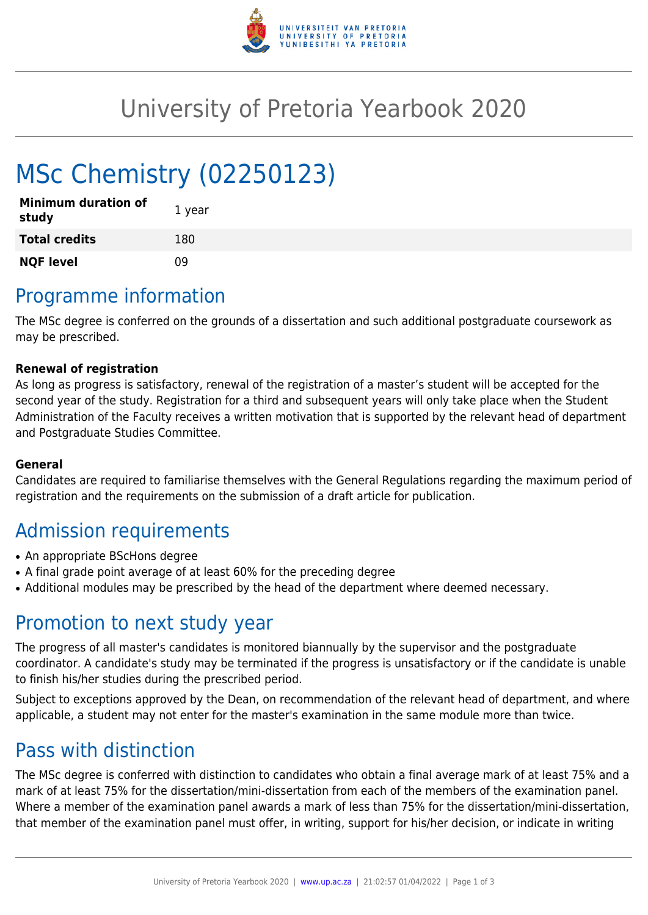

## University of Pretoria Yearbook 2020

# MSc Chemistry (02250123)

| <b>Minimum duration of</b><br>study | 1 year |
|-------------------------------------|--------|
| <b>Total credits</b>                | 180    |
| <b>NQF level</b>                    | n۹     |

## Programme information

The MSc degree is conferred on the grounds of a dissertation and such additional postgraduate coursework as may be prescribed.

#### **Renewal of registration**

As long as progress is satisfactory, renewal of the registration of a master's student will be accepted for the second year of the study. Registration for a third and subsequent years will only take place when the Student Administration of the Faculty receives a written motivation that is supported by the relevant head of department and Postgraduate Studies Committee.

#### **General**

Candidates are required to familiarise themselves with the General Regulations regarding the maximum period of registration and the requirements on the submission of a draft article for publication.

## Admission requirements

- An appropriate BScHons degree
- A final grade point average of at least 60% for the preceding degree
- Additional modules may be prescribed by the head of the department where deemed necessary.

## Promotion to next study year

The progress of all master's candidates is monitored biannually by the supervisor and the postgraduate coordinator. A candidate's study may be terminated if the progress is unsatisfactory or if the candidate is unable to finish his/her studies during the prescribed period.

Subject to exceptions approved by the Dean, on recommendation of the relevant head of department, and where applicable, a student may not enter for the master's examination in the same module more than twice.

## Pass with distinction

The MSc degree is conferred with distinction to candidates who obtain a final average mark of at least 75% and a mark of at least 75% for the dissertation/mini-dissertation from each of the members of the examination panel. Where a member of the examination panel awards a mark of less than 75% for the dissertation/mini-dissertation, that member of the examination panel must offer, in writing, support for his/her decision, or indicate in writing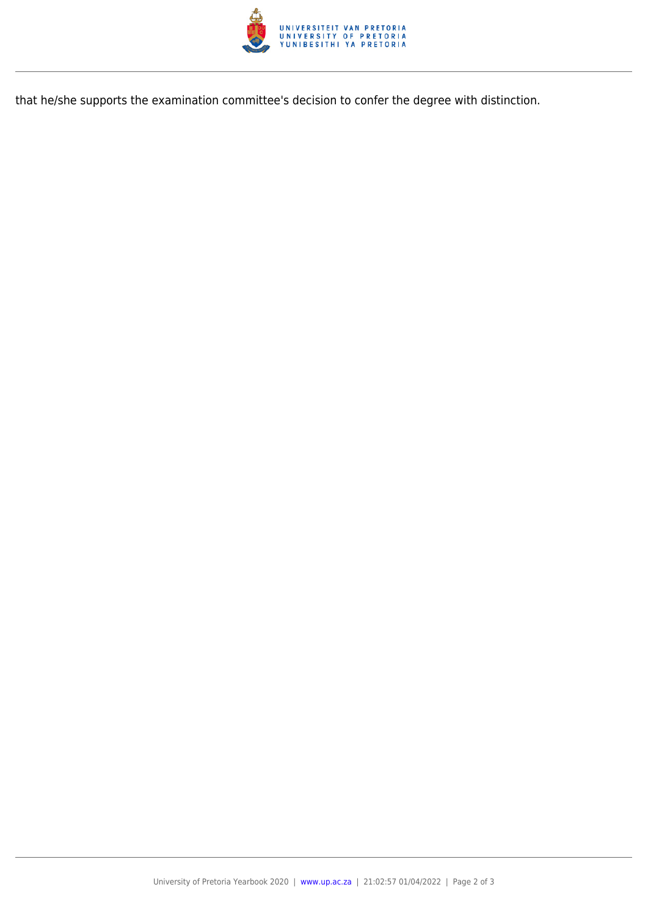

that he/she supports the examination committee's decision to confer the degree with distinction.